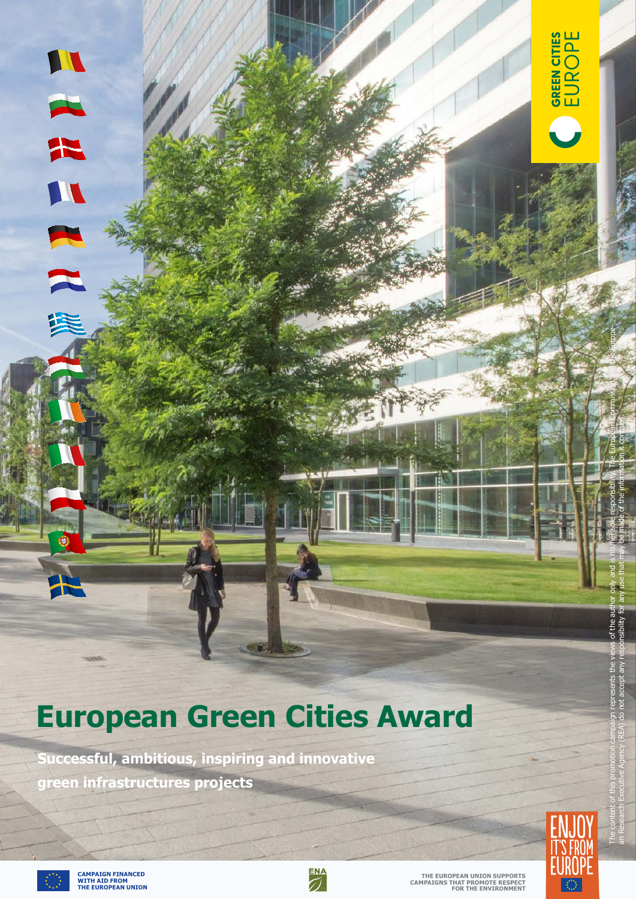# **European Green Cities Award**

**Successful, ambitious, inspiring and innovative green infrastructures projects**





The content of this promotion campaign represents the views of the author only and is his/her sole responsibility. The European Commission and the Europe-

GREN CITIES

an Research Executive Agency (REA) do not accept any responsibility for any use that may be made of the information it contains.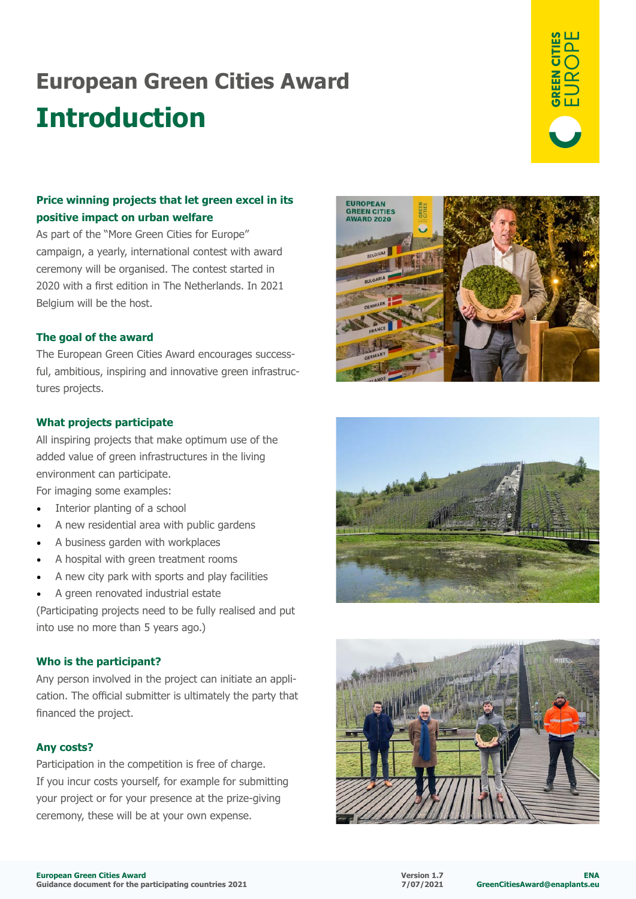# **European Green Cities Award Introduction**



# **Price winning projects that let green excel in its positive impact on urban welfare**

As part of the "More Green Cities for Europe" campaign, a yearly, international contest with award ceremony will be organised. The contest started in 2020 with a first edition in The Netherlands. In 2021 Belgium will be the host.

### **The goal of the award**

The European Green Cities Award encourages successful, ambitious, inspiring and innovative green infrastructures projects.

### **What projects participate**

All inspiring projects that make optimum use of the added value of green infrastructures in the living environment can participate.

For imaging some examples:

- Interior planting of a school
- A new residential area with public gardens
- A business garden with workplaces
- A hospital with green treatment rooms
- A new city park with sports and play facilities
- A green renovated industrial estate

(Participating projects need to be fully realised and put into use no more than 5 years ago.)

# **Who is the participant?**

Any person involved in the project can initiate an application. The official submitter is ultimately the party that financed the project.

# **Any costs?**

Participation in the competition is free of charge. If you incur costs yourself, for example for submitting your project or for your presence at the prize-giving ceremony, these will be at your own expense.





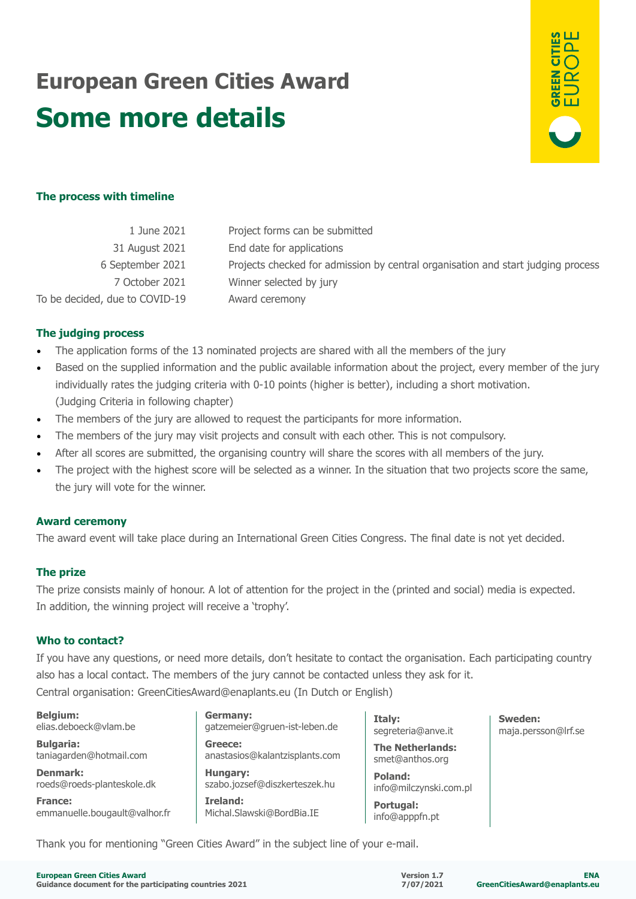# **European Green Cities Award Some more details**



### **The process with timeline**

| 1 June 2021                    | Project forms can be submitted                                                   |
|--------------------------------|----------------------------------------------------------------------------------|
| 31 August 2021                 | End date for applications                                                        |
| 6 September 2021               | Projects checked for admission by central organisation and start judging process |
| 7 October 2021                 | Winner selected by jury                                                          |
| To be decided, due to COVID-19 | Award ceremony                                                                   |
|                                |                                                                                  |

#### **The judging process**

- The application forms of the 13 nominated projects are shared with all the members of the jury
- Based on the supplied information and the public available information about the project, every member of the jury individually rates the judging criteria with 0-10 points (higher is better), including a short motivation. (Judging Criteria in following chapter)
- The members of the jury are allowed to request the participants for more information.
- The members of the jury may visit projects and consult with each other. This is not compulsory.
- After all scores are submitted, the organising country will share the scores with all members of the jury.
- The project with the highest score will be selected as a winner. In the situation that two projects score the same, the jury will vote for the winner.

#### **Award ceremony**

The award event will take place during an International Green Cities Congress. The final date is not yet decided.

#### **The prize**

The prize consists mainly of honour. A lot of attention for the project in the (printed and social) media is expected. In addition, the winning project will receive a 'trophy'.

#### **Who to contact?**

If you have any questions, or need more details, don't hesitate to contact the organisation. Each participating country also has a local contact. The members of the jury cannot be contacted unless they ask for it. Central organisation: GreenCitiesAward@enaplants.eu (In Dutch or English)

**Belgium:** elias.deboeck@vlam.be

**Bulgaria:** taniagarden@hotmail.com

**Denmark:**  roeds@roeds-planteskole.dk

**France:** emmanuelle.bougault@valhor.fr

**Germany:** gatzemeier@gruen-ist-leben.de **Greece:** anastasios@kalantzisplants.com **Hungary:** szabo.jozsef@diszkerteszek.hu

**Ireland:** Michal.Slawski@BordBia.IE **Italy:** segreteria@anve.it

**The Netherlands:** smet@anthos.org

**Poland:** info@milczynski.com.pl

**Portugal:** info@apppfn.pt **Sweden:** maja.persson@lrf.se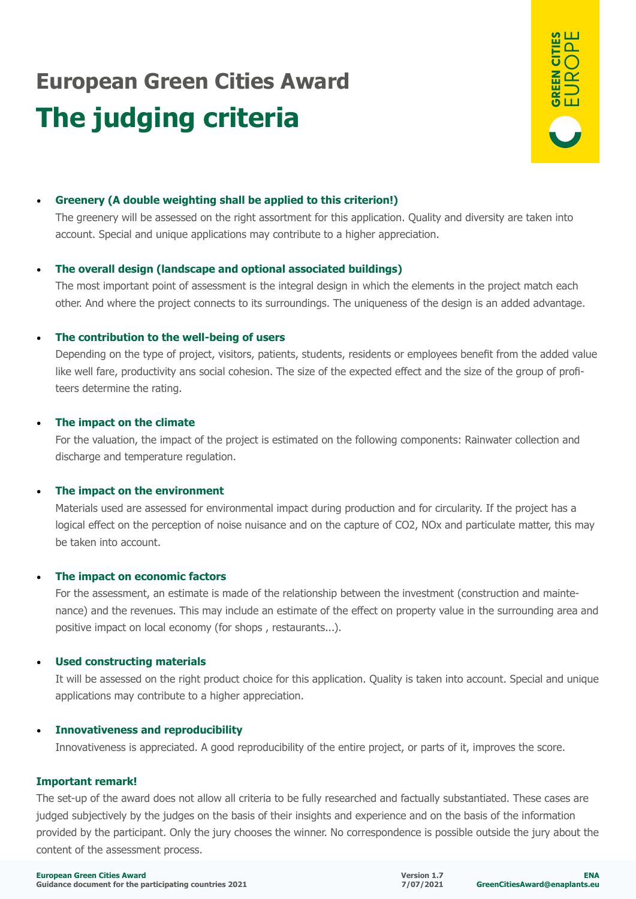# **European Green Cities Award The judging criteria**



# • **Greenery (A double weighting shall be applied to this criterion!)**

The greenery will be assessed on the right assortment for this application. Quality and diversity are taken into account. Special and unique applications may contribute to a higher appreciation.

# • **The overall design (landscape and optional associated buildings)**

The most important point of assessment is the integral design in which the elements in the project match each other. And where the project connects to its surroundings. The uniqueness of the design is an added advantage.

### • **The contribution to the well-being of users**

Depending on the type of project, visitors, patients, students, residents or employees benefit from the added value like well fare, productivity ans social cohesion. The size of the expected effect and the size of the group of profiteers determine the rating.

### • **The impact on the climate**

For the valuation, the impact of the project is estimated on the following components: Rainwater collection and discharge and temperature regulation.

#### • **The impact on the environment**

Materials used are assessed for environmental impact during production and for circularity. If the project has a logical effect on the perception of noise nuisance and on the capture of CO2, NOx and particulate matter, this may be taken into account.

# • **The impact on economic factors**

For the assessment, an estimate is made of the relationship between the investment (construction and maintenance) and the revenues. This may include an estimate of the effect on property value in the surrounding area and positive impact on local economy (for shops , restaurants...).

#### • **Used constructing materials**

It will be assessed on the right product choice for this application. Quality is taken into account. Special and unique applications may contribute to a higher appreciation.

# • **Innovativeness and reproducibility**

Innovativeness is appreciated. A good reproducibility of the entire project, or parts of it, improves the score.

#### **Important remark!**

The set-up of the award does not allow all criteria to be fully researched and factually substantiated. These cases are judged subjectively by the judges on the basis of their insights and experience and on the basis of the information provided by the participant. Only the jury chooses the winner. No correspondence is possible outside the jury about the content of the assessment process.